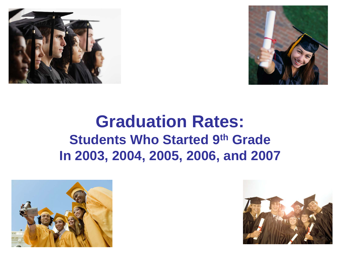



# **Graduation Rates: Students Who Started 9th Grade In 2003, 2004, 2005, 2006, and 2007**



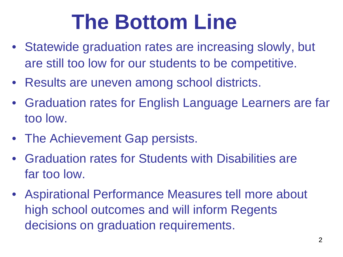# **The Bottom Line**

- Statewide graduation rates are increasing slowly, but are still too low for our students to be competitive.
- Results are uneven among school districts.
- Graduation rates for English Language Learners are far too low.
- The Achievement Gap persists.
- Graduation rates for Students with Disabilities are far too low.
- Aspirational Performance Measures tell more about high school outcomes and will inform Regents decisions on graduation requirements.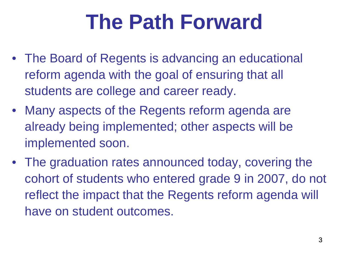# **The Path Forward**

- The Board of Regents is advancing an educational reform agenda with the goal of ensuring that all students are college and career ready.
- Many aspects of the Regents reform agenda are already being implemented; other aspects will be implemented soon.
- The graduation rates announced today, covering the cohort of students who entered grade 9 in 2007, do not reflect the impact that the Regents reform agenda will have on student outcomes.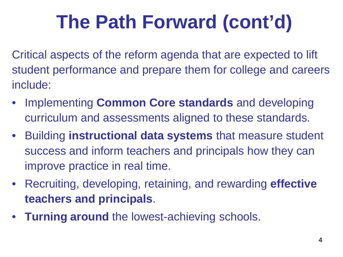# **The Path Forward (cont'd)**

Critical aspects of the reform agenda that are expected to lift student performance and prepare them for college and careers include:

- Implementing **Common Core standards** and developing curriculum and assessments aligned to these standards.
- Building **instructional data systems** that measure student success and inform teachers and principals how they can improve practice in real time.
- Recruiting, developing, retaining, and rewarding **effective teachers and principals**.
- **Turning around** the lowest-achieving schools.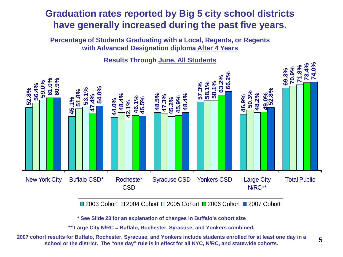### **Graduation rates reported by Big 5 city school districts have generally increased during the past five years.**

**Percentage of Students Graduating with a Local, Regents, or Regents with Advanced Designation diploma After 4 Years**



**Results Through June, All Students**

**■ 2003 Cohort ■ 2004 Cohort □ 2005 Cohort ■ 2006 Cohort ■ 2007 Cohort** 

**\* See Slide 23 for an explanation of changes in Buffalo's cohort size**

**\*\* Large City N/RC = Buffalo, Rochester, Syracuse, and Yonkers combined.**

5 **2007 cohort results for Buffalo, Rochester, Syracuse, and Yonkers include students enrolled for at least one day in a school or the district. The "one day" rule is in effect for all NYC, N/RC, and statewide cohorts.**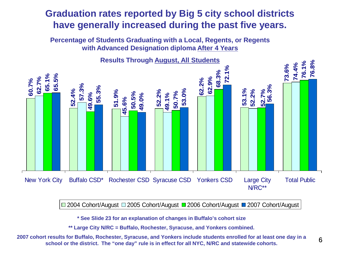### **Graduation rates reported by Big 5 city school districts have generally increased during the past five years.**

**Percentage of Students Graduating with a Local, Regents, or Regents with Advanced Designation diploma After 4 Years**



□ 2004 Cohort/August □ 2005 Cohort/August □ 2006 Cohort/August ■ 2007 Cohort/August

**\* See Slide 23 for an explanation of changes in Buffalo's cohort size**

**\*\* Large City N/RC = Buffalo, Rochester, Syracuse, and Yonkers combined.**

6 **2007 cohort results for Buffalo, Rochester, Syracuse, and Yonkers include students enrolled for at least one day in a school or the district. The "one day" rule is in effect for all NYC, N/RC and statewide cohorts.**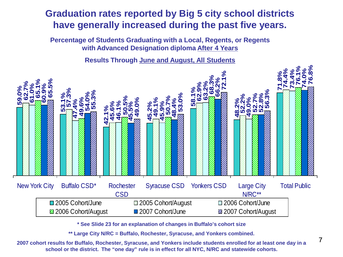### **Graduation rates reported by Big 5 city school districts have generally increased during the past five years.**

**Percentage of Students Graduating with a Local, Regents, or Regents with Advanced Designation diploma After 4 Years**

**Results Through June and August, All Students**



**\* See Slide 23 for an explanation of changes in Buffalo's cohort size**

**\*\* Large City N/RC = Buffalo, Rochester, Syracuse, and Yonkers combined.**

**2007 cohort results for Buffalo, Rochester, Syracuse, and Yonkers include students enrolled for at least one day in a school or the district. The "one day" rule is in effect for all NYC, N/RC and statewide cohorts.**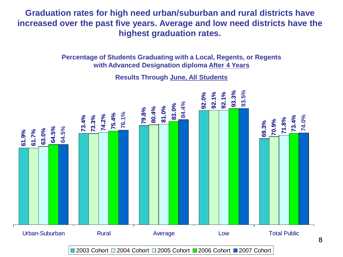**Graduation rates for high need urban/suburban and rural districts have increased over the past five years. Average and low need districts have the highest graduation rates.** 

> **Percentage of Students Graduating with a Local, Regents, or Regents with Advanced Designation diploma After 4 Years**

> > **Results Through June, All Students**



**■ 2003 Cohort ■ 2004 Cohort □ 2005 Cohort ■ 2006 Cohort ■ 2007 Cohort**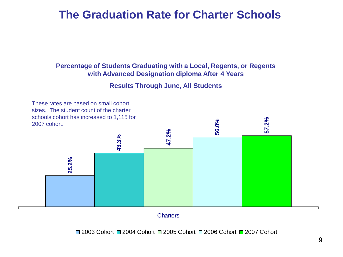## **The Graduation Rate for Charter Schools**

#### **Percentage of Students Graduating with a Local, Regents, or Regents with Advanced Designation diploma After 4 Years**

#### **Results Through June, All Students**



**Charters** 

□ 2003 Cohort □ 2004 Cohort □ 2005 Cohort □ 2006 Cohort □ 2007 Cohort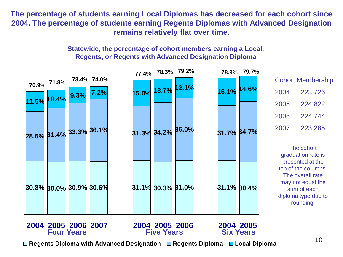**The percentage of students earning Local Diplomas has decreased for each cohort since 2004. The percentage of students earning Regents Diplomas with Advanced Designation remains relatively flat over time.** 

#### **Statewide, the percentage of cohort members earning a Local, Regents, or Regents with Advanced Designation Diploma**



**□ Regents Diploma with Advanced Designation ■ Regents Diploma ■ Local Diploma**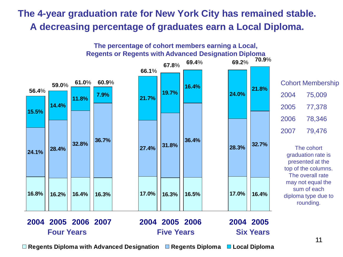## **The 4-year graduation rate for New York City has remained stable. A decreasing percentage of graduates earn a Local Diploma.**



**E** Regents Diploma with Advanced Designation E Regents Diploma E Local Diploma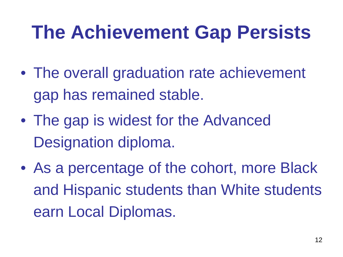# **The Achievement Gap Persists**

- The overall graduation rate achievement gap has remained stable.
- The gap is widest for the Advanced Designation diploma.
- As a percentage of the cohort, more Black and Hispanic students than White students earn Local Diplomas.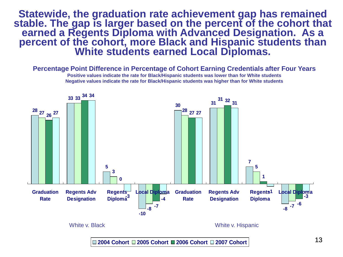**Statewide, the graduation rate achievement gap has remained stable. The gap is larger based on the percent of the cohort that earned a Regents Diploma with Advanced Designation. As a**  percent of the cohort, more Black and Hispanic students than White students earned Local Diplomas.

**Percentage Point Difference in Percentage of Cohort Earning Credentials after Four Years**

**Positive values indicate the rate for Black/Hispanic students was lower than for White students Negative values indicate the rate for Black/Hispanic students was higher than for White students**



**2004 Cohort 2005 Cohort 2006 Cohort 2007 Cohort**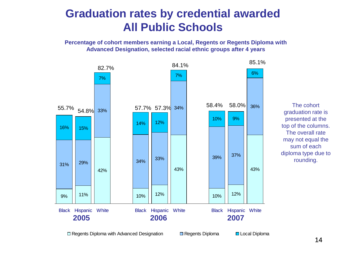## **Graduation rates by credential awarded All Public Schools**

**Percentage of cohort members earning a Local, Regents or Regents Diploma with Advanced Designation, selected racial ethnic groups after 4 years**



The cohort graduation rate is presented at the top of the columns. The overall rate may not equal the sum of each diploma type due to rounding.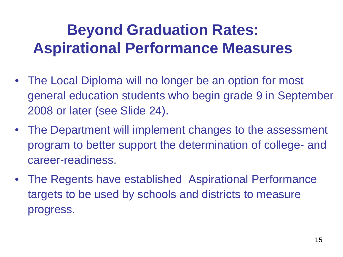# **Beyond Graduation Rates: Aspirational Performance Measures**

- The Local Diploma will no longer be an option for most general education students who begin grade 9 in September 2008 or later (see Slide 24).
- The Department will implement changes to the assessment program to better support the determination of college- and career-readiness.
- The Regents have established Aspirational Performance targets to be used by schools and districts to measure progress.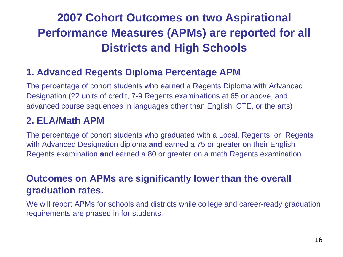# **2007 Cohort Outcomes on two Aspirational Performance Measures (APMs) are reported for all Districts and High Schools**

### **1. Advanced Regents Diploma Percentage APM**

The percentage of cohort students who earned a Regents Diploma with Advanced Designation (22 units of credit, 7-9 Regents examinations at 65 or above, and advanced course sequences in languages other than English, CTE, or the arts)

### **2. ELA/Math APM**

The percentage of cohort students who graduated with a Local, Regents, or Regents with Advanced Designation diploma **and** earned a 75 or greater on their English Regents examination **and** earned a 80 or greater on a math Regents examination

### **Outcomes on APMs are significantly lower than the overall graduation rates.**

We will report APMs for schools and districts while college and career-ready graduation requirements are phased in for students.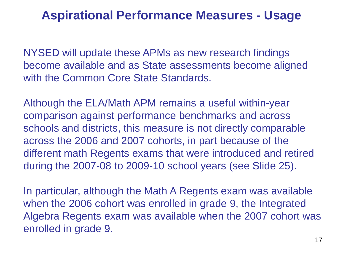## **Aspirational Performance Measures - Usage**

NYSED will update these APMs as new research findings become available and as State assessments become aligned with the Common Core State Standards.

Although the ELA/Math APM remains a useful within-year comparison against performance benchmarks and across schools and districts, this measure is not directly comparable across the 2006 and 2007 cohorts, in part because of the different math Regents exams that were introduced and retired during the 2007-08 to 2009-10 school years (see Slide 25).

In particular, although the Math A Regents exam was available when the 2006 cohort was enrolled in grade 9, the Integrated Algebra Regents exam was available when the 2007 cohort was enrolled in grade 9.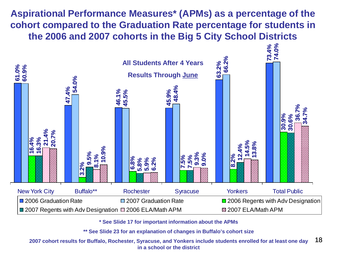**Aspirational Performance Measures\* (APMs) as a percentage of the cohort compared to the Graduation Rate percentage for students in the 2006 and 2007 cohorts in the Big 5 City School Districts**



**\* See Slide 17 for important information about the APMs**

**\*\* See Slide 23 for an explanation of changes in Buffalo's cohort size**

18 **2007 cohort results for Buffalo, Rochester, Syracuse, and Yonkers include students enrolled for at least one day in a school or the district**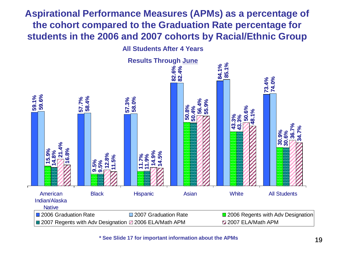### **Aspirational Performance Measures (APMs) as a percentage of the cohort compared to the Graduation Rate percentage for students in the 2006 and 2007 cohorts by Racial/Ethnic Group**



**\* See Slide 17 for important information about the APMs**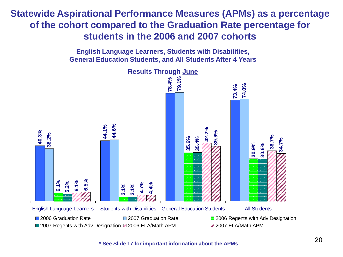**Statewide Aspirational Performance Measures (APMs) as a percentage of the cohort compared to the Graduation Rate percentage for students in the 2006 and 2007 cohorts**

> **English Language Learners, Students with Disabilities, General Education Students, and All Students After 4 Years**

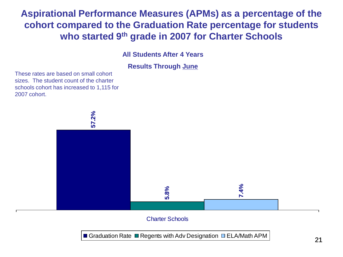**Aspirational Performance Measures (APMs) as a percentage of the cohort compared to the Graduation Rate percentage for students who started 9th grade in 2007 for Charter Schools**

**All Students After 4 Years**

**Results Through June**

These rates are based on small cohort sizes. The student count of the charter schools cohort has increased to 1,115 for 2007 cohort.



Charter Schools

Graduation Rate Regents with Adv Designation  $\Box$  ELA/Math APM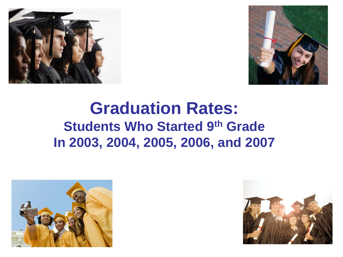



# **Graduation Rates: Students Who Started 9th Grade In 2003, 2004, 2005, 2006, and 2007**



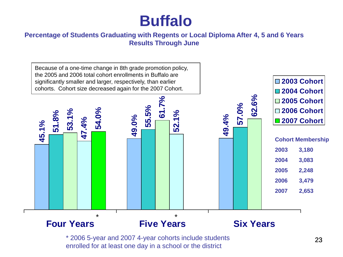# **Buffalo**

#### **Percentage of Students Graduating with Regents or Local Diploma After 4, 5 and 6 Years Results Through June**



\* 2006 5-year and 2007 4-year cohorts include students enrolled for at least one day in a school or the district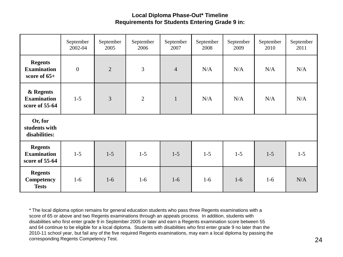#### **Local Diploma Phase-Out\* Timeline Requirements for Students Entering Grade 9 in:**

|                                                        | September<br>2002-04 | September<br>2005 | September<br>2006 | September<br>2007 | September<br>2008 | September<br>2009 | September<br>2010 | September<br>2011 |
|--------------------------------------------------------|----------------------|-------------------|-------------------|-------------------|-------------------|-------------------|-------------------|-------------------|
| <b>Regents</b><br><b>Examination</b><br>score of $65+$ | $\boldsymbol{0}$     | $\overline{2}$    | 3                 | $\overline{4}$    | N/A               | N/A               | N/A               | N/A               |
| & Regents<br><b>Examination</b><br>score of 55-64      | $1 - 5$              | $\overline{3}$    | 2                 | $\mathbf{1}$      | N/A               | N/A               | N/A               | N/A               |
| Or, for<br>students with<br>disabilities:              |                      |                   |                   |                   |                   |                   |                   |                   |
| <b>Regents</b><br><b>Examination</b><br>score of 55-64 | $1 - 5$              | $1-5$             | $1-5$             | $1-5$             | $1 - 5$           | $1-5$             | $1-5$             | $1-5$             |
| <b>Regents</b><br><b>Competency</b><br><b>Tests</b>    | $1-6$                | $1-6$             | $1-6$             | $1-6$             | $1-6$             | $1-6$             | $1-6$             | N/A               |

. corresponding Regents Competency Test. \* The local diploma option remains for general education students who pass three Regents examinations with a score of 65 or above and two Regents examinations through an appeals process. In addition, students with disabilities who first enter grade 9 in September 2005 or later and earn a Regents examination score between 55 and 64 continue to be eligible for a local diploma. Students with disabilities who first enter grade 9 no later than the 2010-11 school year, but fail any of the five required Regents examinations, may earn a local diploma by passing the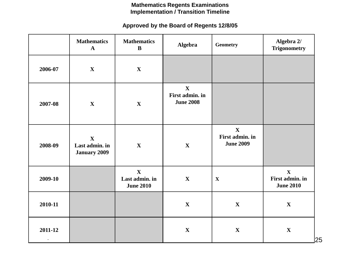#### **Mathematics Regents Examinations Implementation / Transition Timeline**

#### **Approved by the Board of Regents 12/8/05**

|                      | <b>Mathematics</b><br>$\mathbf{A}$                    | <b>Mathematics</b><br>$\bf{B}$                     | Algebra                                             | Geometry                                            | Algebra 2/<br><b>Trigonometry</b>                   |
|----------------------|-------------------------------------------------------|----------------------------------------------------|-----------------------------------------------------|-----------------------------------------------------|-----------------------------------------------------|
| 2006-07              | $\mathbf X$                                           | $\mathbf X$                                        |                                                     |                                                     |                                                     |
| 2007-08              | $\mathbf X$                                           | $\mathbf X$                                        | $\mathbf{X}$<br>First admin. in<br><b>June 2008</b> |                                                     |                                                     |
| 2008-09              | $\mathbf{X}$<br>Last admin. in<br><b>January 2009</b> | $\mathbf X$                                        | $\mathbf X$                                         | $\mathbf{X}$<br>First admin. in<br><b>June 2009</b> |                                                     |
| 2009-10              |                                                       | $\mathbf{X}$<br>Last admin. in<br><b>June 2010</b> | $\mathbf X$                                         | $\mathbf X$                                         | $\mathbf{X}$<br>First admin. in<br><b>June 2010</b> |
| 2010-11              |                                                       |                                                    | $\mathbf X$                                         | $\mathbf X$                                         | $\mathbf X$                                         |
| 2011-12<br>$\bullet$ |                                                       |                                                    | $\mathbf X$                                         | $\mathbf X$                                         | $\mathbf X$<br>25                                   |